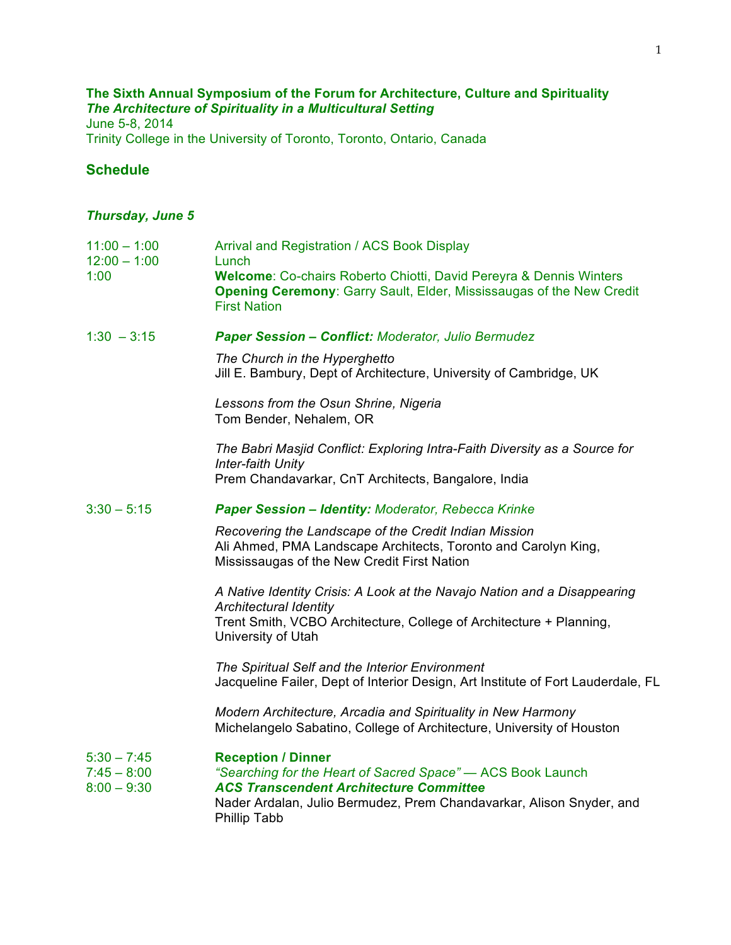# **The Sixth Annual Symposium of the Forum for Architecture, Culture and Spirituality**  *The Architecture of Spirituality in a Multicultural Setting*

June 5-8, 2014 Trinity College in the University of Toronto, Toronto, Ontario, Canada

### **Schedule**

## *Thursday, June 5*

| $11:00 - 1:00$<br>$12:00 - 1:00$                | Arrival and Registration / ACS Book Display<br>Lunch                                                                                                                                                                                      |
|-------------------------------------------------|-------------------------------------------------------------------------------------------------------------------------------------------------------------------------------------------------------------------------------------------|
| 1:00                                            | Welcome: Co-chairs Roberto Chiotti, David Pereyra & Dennis Winters<br>Opening Ceremony: Garry Sault, Elder, Mississaugas of the New Credit<br><b>First Nation</b>                                                                         |
| $1:30 - 3:15$                                   | <b>Paper Session - Conflict: Moderator, Julio Bermudez</b>                                                                                                                                                                                |
|                                                 | The Church in the Hyperghetto<br>Jill E. Bambury, Dept of Architecture, University of Cambridge, UK                                                                                                                                       |
|                                                 | Lessons from the Osun Shrine, Nigeria<br>Tom Bender, Nehalem, OR                                                                                                                                                                          |
|                                                 | The Babri Masjid Conflict: Exploring Intra-Faith Diversity as a Source for<br>Inter-faith Unity                                                                                                                                           |
|                                                 | Prem Chandavarkar, CnT Architects, Bangalore, India                                                                                                                                                                                       |
| $3:30 - 5:15$                                   | Paper Session - Identity: Moderator, Rebecca Krinke                                                                                                                                                                                       |
|                                                 | Recovering the Landscape of the Credit Indian Mission<br>Ali Ahmed, PMA Landscape Architects, Toronto and Carolyn King,<br>Mississaugas of the New Credit First Nation                                                                    |
|                                                 | A Native Identity Crisis: A Look at the Navajo Nation and a Disappearing<br><b>Architectural Identity</b><br>Trent Smith, VCBO Architecture, College of Architecture + Planning,<br>University of Utah                                    |
|                                                 | The Spiritual Self and the Interior Environment<br>Jacqueline Failer, Dept of Interior Design, Art Institute of Fort Lauderdale, FL                                                                                                       |
|                                                 | Modern Architecture, Arcadia and Spirituality in New Harmony<br>Michelangelo Sabatino, College of Architecture, University of Houston                                                                                                     |
| $5:30 - 7:45$<br>$7:45 - 8:00$<br>$8:00 - 9:30$ | <b>Reception / Dinner</b><br>"Searching for the Heart of Sacred Space" - ACS Book Launch<br><b>ACS Transcendent Architecture Committee</b><br>Nader Ardalan, Julio Bermudez, Prem Chandavarkar, Alison Snyder, and<br><b>Phillip Tabb</b> |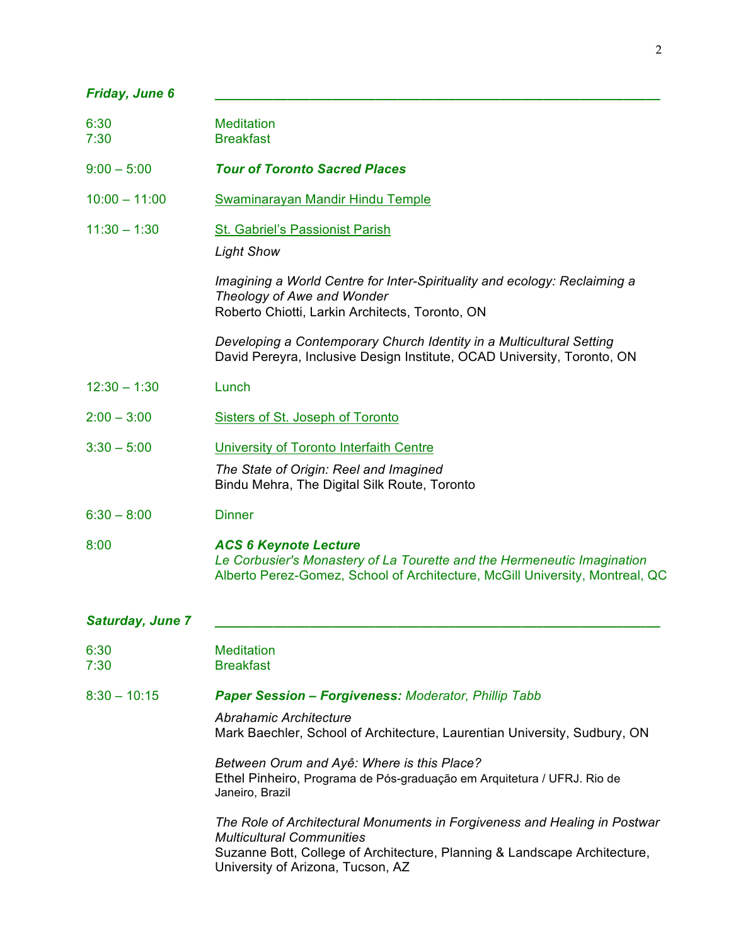| Friday, June 6   |                                                                                                                                                                                                                                 |  |
|------------------|---------------------------------------------------------------------------------------------------------------------------------------------------------------------------------------------------------------------------------|--|
| 6:30<br>7:30     | <b>Meditation</b><br><b>Breakfast</b>                                                                                                                                                                                           |  |
| $9:00 - 5:00$    | <b>Tour of Toronto Sacred Places</b>                                                                                                                                                                                            |  |
| $10:00 - 11:00$  | Swaminarayan Mandir Hindu Temple                                                                                                                                                                                                |  |
| $11:30 - 1:30$   | <b>St. Gabriel's Passionist Parish</b><br><b>Light Show</b>                                                                                                                                                                     |  |
|                  | Imagining a World Centre for Inter-Spirituality and ecology: Reclaiming a<br>Theology of Awe and Wonder<br>Roberto Chiotti, Larkin Architects, Toronto, ON                                                                      |  |
|                  | Developing a Contemporary Church Identity in a Multicultural Setting<br>David Pereyra, Inclusive Design Institute, OCAD University, Toronto, ON                                                                                 |  |
| $12:30 - 1:30$   | Lunch                                                                                                                                                                                                                           |  |
| $2:00 - 3:00$    | Sisters of St. Joseph of Toronto                                                                                                                                                                                                |  |
| $3:30 - 5:00$    | University of Toronto Interfaith Centre                                                                                                                                                                                         |  |
|                  | The State of Origin: Reel and Imagined<br>Bindu Mehra, The Digital Silk Route, Toronto                                                                                                                                          |  |
| $6:30 - 8:00$    | <b>Dinner</b>                                                                                                                                                                                                                   |  |
| 8:00             | <b>ACS 6 Keynote Lecture</b><br>Le Corbusier's Monastery of La Tourette and the Hermeneutic Imagination<br>Alberto Perez-Gomez, School of Architecture, McGill University, Montreal, QC                                         |  |
| Saturday, June 7 |                                                                                                                                                                                                                                 |  |
| 6:30<br>7:30     | <b>Meditation</b><br><b>Breakfast</b>                                                                                                                                                                                           |  |
| $8:30 - 10:15$   | <b>Paper Session - Forgiveness: Moderator, Phillip Tabb</b>                                                                                                                                                                     |  |
|                  | Abrahamic Architecture<br>Mark Baechler, School of Architecture, Laurentian University, Sudbury, ON                                                                                                                             |  |
|                  | Between Orum and Ayê: Where is this Place?<br>Ethel Pinheiro, Programa de Pós-graduação em Arquitetura / UFRJ. Rio de<br>Janeiro, Brazil                                                                                        |  |
|                  | The Role of Architectural Monuments in Forgiveness and Healing in Postwar<br><b>Multicultural Communities</b><br>Suzanne Bott, College of Architecture, Planning & Landscape Architecture,<br>University of Arizona, Tucson, AZ |  |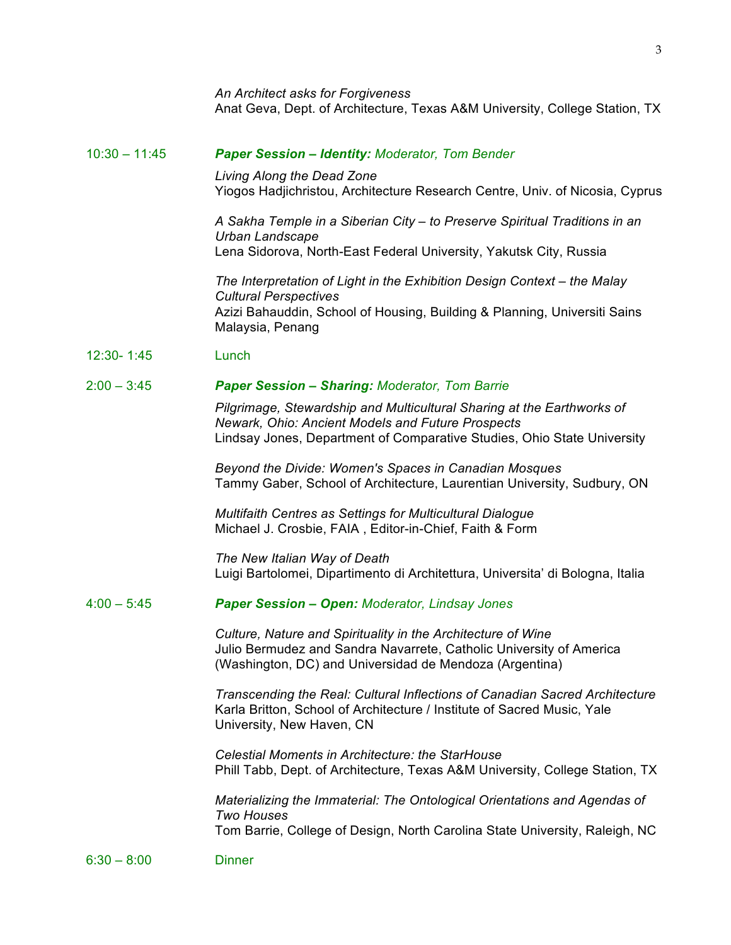*An Architect asks for Forgiveness* Anat Geva, Dept. of Architecture, Texas A&M University, College Station, TX

#### 10:30 – 11:45 *Paper Session – Identity: Moderator, Tom Bender*

*Living Along the Dead Zone* Yiogos Hadjichristou, Architecture Research Centre, Univ. of Nicosia, Cyprus

*A Sakha Temple in a Siberian City – to Preserve Spiritual Traditions in an Urban Landscape* Lena Sidorova, North-East Federal University, Yakutsk City, Russia

*The Interpretation of Light in the Exhibition Design Context – the Malay Cultural Perspectives*  Azizi Bahauddin, School of Housing, Building & Planning, Universiti Sains Malaysia, Penang

12:30- 1:45 Lunch

#### 2:00 – 3:45 *Paper Session – Sharing: Moderator, Tom Barrie*

*Pilgrimage, Stewardship and Multicultural Sharing at the Earthworks of Newark, Ohio: Ancient Models and Future Prospects* Lindsay Jones, Department of Comparative Studies, Ohio State University

*Beyond the Divide: Women's Spaces in Canadian Mosques* Tammy Gaber, School of Architecture, Laurentian University, Sudbury, ON

*Multifaith Centres as Settings for Multicultural Dialogue* Michael J. Crosbie, FAIA , Editor-in-Chief, Faith & Form

*The New Italian Way of Death* Luigi Bartolomei, Dipartimento di Architettura, Universita' di Bologna, Italia

### 4:00 – 5:45 *Paper Session – Open: Moderator, Lindsay Jones*

*Culture, Nature and Spirituality in the Architecture of Wine* Julio Bermudez and Sandra Navarrete, Catholic University of America (Washington, DC) and Universidad de Mendoza (Argentina)

*Transcending the Real: Cultural Inflections of Canadian Sacred Architecture* Karla Britton, School of Architecture / Institute of Sacred Music, Yale University, New Haven, CN

*Celestial Moments in Architecture: the StarHouse* Phill Tabb, Dept. of Architecture, Texas A&M University, College Station, TX

*Materializing the Immaterial: The Ontological Orientations and Agendas of Two Houses* Tom Barrie, College of Design, North Carolina State University, Raleigh, NC